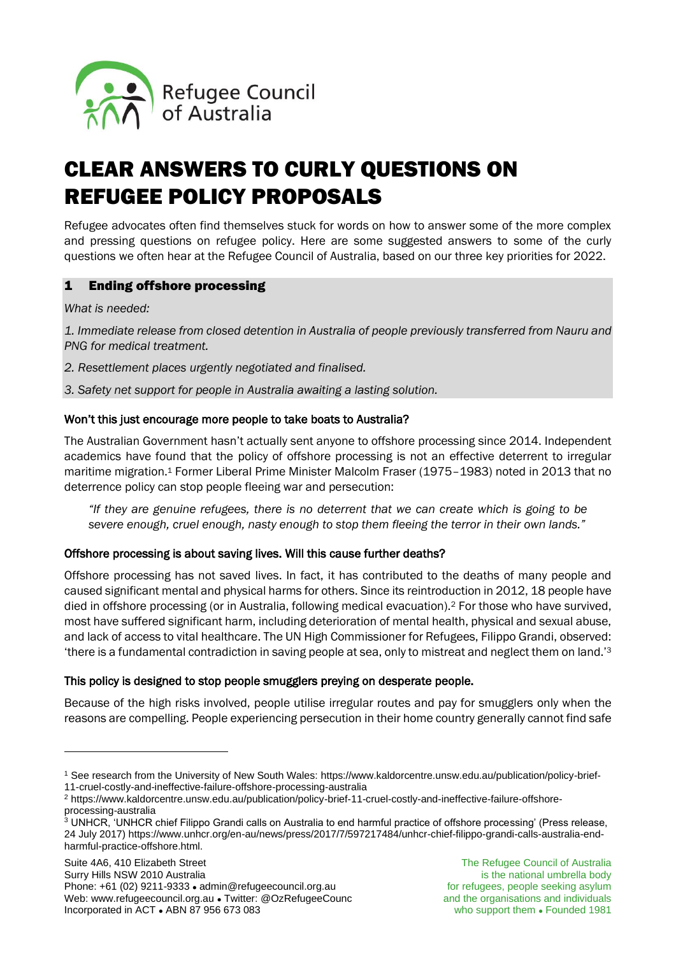

# CLEAR ANSWERS TO CURLY QUESTIONS ON REFUGEE POLICY PROPOSALS

Refugee advocates often find themselves stuck for words on how to answer some of the more complex and pressing questions on refugee policy. Here are some suggested answers to some of the curly questions we often hear at the Refugee Council of Australia, based on our three key priorities for 2022.

# 1 Ending offshore processing

### *What is needed:*

*1. Immediate release from closed detention in Australia of people previously transferred from Nauru and PNG for medical treatment.*

- *2. Resettlement places urgently negotiated and finalised.*
- *3. Safety net support for people in Australia awaiting a lasting solution.*

### Won't this just encourage more people to take boats to Australia?

The Australian Government hasn't actually sent anyone to offshore processing since 2014. Independent academics have found that the policy of offshore processing is not an effective deterrent to irregular maritime migration.<sup>1</sup> Former Liberal Prime Minister Malcolm Fraser (1975-1983) noted in 2013 that no deterrence policy can stop people fleeing war and persecution:

*"If they are genuine refugees, there is no deterrent that we can create which is going to be severe enough, cruel enough, nasty enough to stop them fleeing the terror in their own lands."*

#### Offshore processing is about saving lives. Will this cause further deaths?

Offshore processing has not saved lives. In fact, it has contributed to the deaths of many people and caused significant mental and physical harms for others. Since its reintroduction in 2012, 18 people have died in offshore processing (or in Australia, following medical evacuation).<sup>2</sup> For those who have survived, most have suffered significant harm, including deterioration of mental health, physical and sexual abuse, and lack of access to vital healthcare. The UN High Commissioner for Refugees, Filippo Grandi, observed: 'there is a fundamental contradiction in saving people at sea, only to mistreat and neglect them on land.'<sup>3</sup>

## This policy is designed to stop people smugglers preying on desperate people.

Because of the high risks involved, people utilise irregular routes and pay for smugglers only when the reasons are compelling. People experiencing persecution in their home country generally cannot find safe

<sup>1</sup> See research from the University of New South Wales[: https://www.kaldorcentre.unsw.edu.au/publication/policy-brief-](https://www.kaldorcentre.unsw.edu.au/publication/policy-brief-11-cruel-costly-and-ineffective-failure-offshore-processing-australia)[11-cruel-costly-and-ineffective-failure-offshore-processing-australia](https://www.kaldorcentre.unsw.edu.au/publication/policy-brief-11-cruel-costly-and-ineffective-failure-offshore-processing-australia)

<sup>2</sup> [https://www.kaldorcentre.unsw.edu.au/publication/policy-brief-11-cruel-costly-and-ineffective-failure-offshore](https://www.kaldorcentre.unsw.edu.au/publication/policy-brief-11-cruel-costly-and-ineffective-failure-offshore-processing-australia)[processing-australia](https://www.kaldorcentre.unsw.edu.au/publication/policy-brief-11-cruel-costly-and-ineffective-failure-offshore-processing-australia)

 $3$  UNHCR, 'UNHCR chief Filippo Grandi calls on Australia to end harmful practice of offshore processing' (Press release, 24 July 2017) https://www.unhcr.org/en-au/news/press/2017/7/597217484/unhcr-chief-filippo-grandi-calls-australia-endharmful-practice-offshore.html.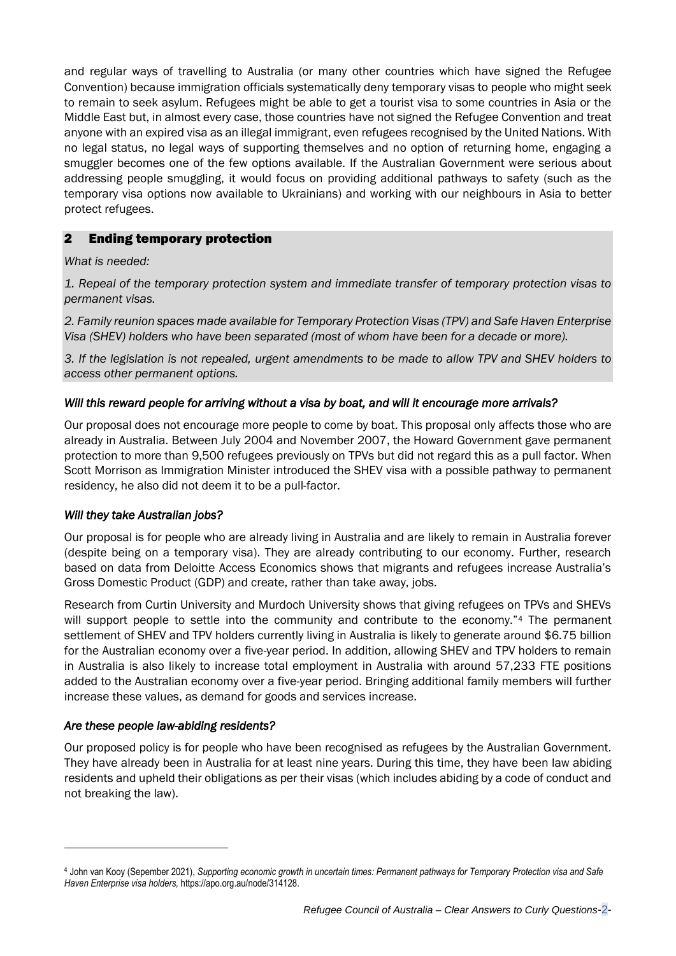and regular ways of travelling to Australia (or many other countries which have signed the Refugee Convention) because immigration officials systematically deny temporary visas to people who might seek to remain to seek asylum. Refugees might be able to get a tourist visa to some countries in Asia or the Middle East but, in almost every case, those countries have not signed the Refugee Convention and treat anyone with an expired visa as an illegal immigrant, even refugees recognised by the United Nations. With no legal status, no legal ways of supporting themselves and no option of returning home, engaging a smuggler becomes one of the few options available. If the Australian Government were serious about addressing people smuggling, it would focus on providing additional pathways to safety (such as the temporary visa options now available to Ukrainians) and working with our neighbours in Asia to better protect refugees.

# 2 Ending temporary protection

### *What is needed:*

*1. Repeal of the temporary protection system and immediate transfer of temporary protection visas to permanent visas.*

*2. Family reunion spaces made available for Temporary Protection Visas (TPV) and Safe Haven Enterprise Visa (SHEV) holders who have been separated (most of whom have been for a decade or more).*

*3. If the legislation is not repealed, urgent amendments to be made to allow TPV and SHEV holders to access other permanent options.*

## *Will this reward people for arriving without a visa by boat, and will it encourage more arrivals?*

Our proposal does not encourage more people to come by boat. This proposal only affects those who are already in Australia. Between July 2004 and November 2007, the Howard Government gave permanent protection to more than 9,500 refugees previously on TPVs but did not regard this as a pull factor. When Scott Morrison as Immigration Minister introduced the SHEV visa with a possible pathway to permanent residency, he also did not deem it to be a pull-factor.

#### *Will they take Australian jobs?*

Our proposal is for people who are already living in Australia and are likely to remain in Australia forever (despite being on a temporary visa). They are already contributing to our economy. Further, research based on data from Deloitte Access Economics shows that migrants and refugees increase Australia's Gross Domestic Product (GDP) and create, rather than take away, jobs.

Research from Curtin University and Murdoch University shows that giving refugees on TPVs and SHEVs will support people to settle into the community and contribute to the economy."<sup>4</sup> The permanent settlement of SHEV and TPV holders currently living in Australia is likely to generate around \$6.75 billion for the Australian economy over a five-year period. In addition, allowing SHEV and TPV holders to remain in Australia is also likely to increase total employment in Australia with around 57,233 FTE positions added to the Australian economy over a five-year period. Bringing additional family members will further increase these values, as demand for goods and services increase.

## *Are these people law-abiding residents?*

Our proposed policy is for people who have been recognised as refugees by the Australian Government. They have already been in Australia for at least nine years. During this time, they have been law abiding residents and upheld their obligations as per their visas (which includes abiding by a code of conduct and not breaking the law).

<sup>4</sup> John van Kooy (Sepember 2021), Supporting economic growth in uncertain times: Permanent pathways for Temporary Protection visa and Safe *Haven Enterprise visa holders,* [https://apo.org.au/node/314128.](https://apo.org.au/node/314128)